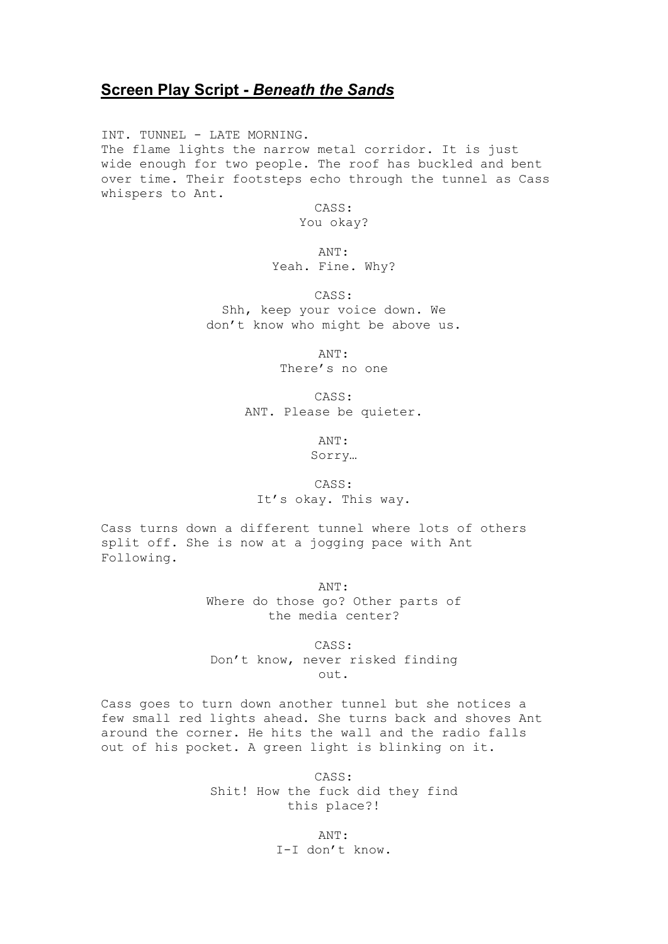## **Screen Play Script -** *Beneath the Sands*

INT. TUNNEL - LATE MORNING. The flame lights the narrow metal corridor. It is just wide enough for two people. The roof has buckled and bent over time. Their footsteps echo through the tunnel as Cass whispers to Ant.

CASS:

You okay?

ANT:

Yeah. Fine. Why?

CASS:

Shh, keep your voice down. We don't know who might be above us.

> ANT: There's no one

CASS: ANT. Please be quieter.

ANT:

Sorry…

## CASS:

It's okay. This way.

Cass turns down a different tunnel where lots of others split off. She is now at a jogging pace with Ant Following.

> ANT: Where do those go? Other parts of the media center?

CASS: Don't know, never risked finding out.

Cass goes to turn down another tunnel but she notices a few small red lights ahead. She turns back and shoves Ant around the corner. He hits the wall and the radio falls out of his pocket. A green light is blinking on it.

> CASS: Shit! How the fuck did they find this place?!

> > ANT: I-I don't know.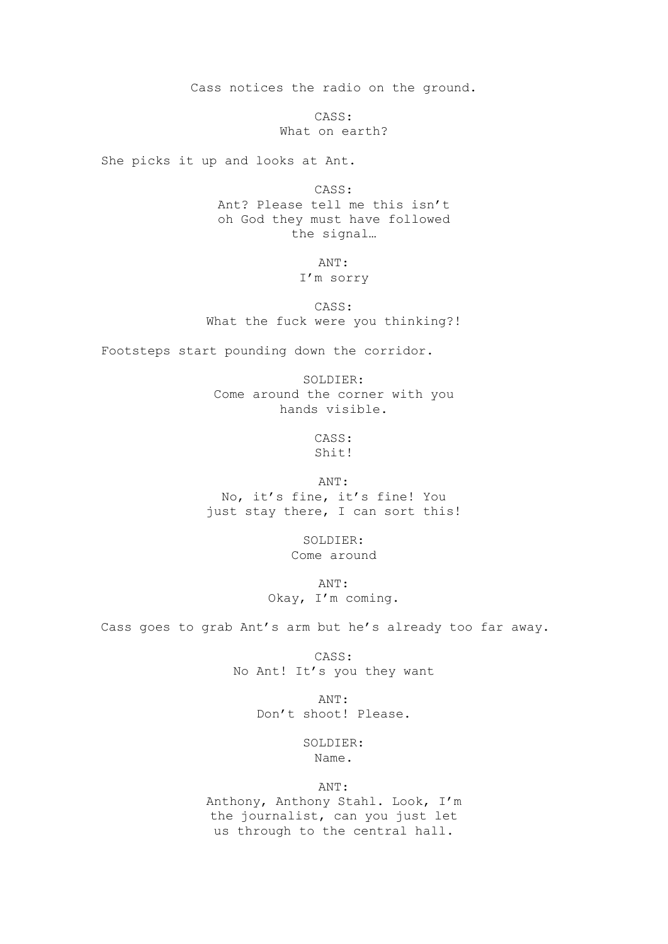Cass notices the radio on the ground.

CASS: What on earth?

She picks it up and looks at Ant.

CASS: Ant? Please tell me this isn't oh God they must have followed the signal…

ANT:

## I'm sorry

CASS: What the fuck were you thinking?!

Footsteps start pounding down the corridor.

SOLDIER: Come around the corner with you hands visible.

> CASS: Shit!

ANT:

No, it's fine, it's fine! You just stay there, I can sort this!

> SOLDIER: Come around

ANT: Okay, I'm coming.

Cass goes to grab Ant's arm but he's already too far away.

CASS: No Ant! It's you they want

> ANT: Don't shoot! Please.

> > SOLDIER: Name.

> > > ANT:

Anthony, Anthony Stahl. Look, I'm the journalist, can you just let us through to the central hall.